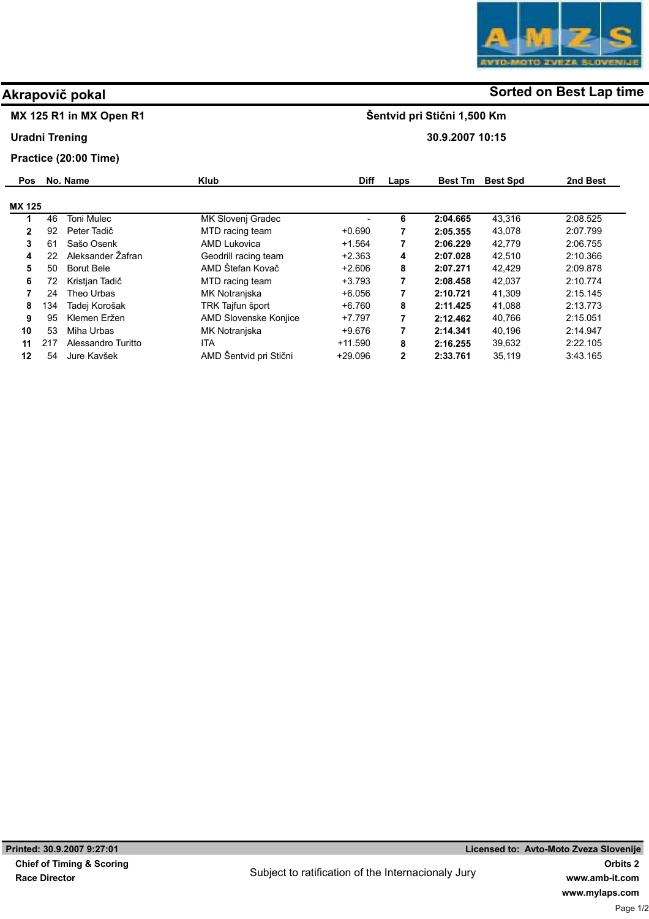## MX 125 R1 in MX Open R1

### Uradni Trening

## Practice (20:00 Time)

| <b>Pos</b>   |     | No. Name           | <b>Klub</b>            | <b>Diff</b> | Laps | <b>Best Tm</b> | <b>Best Spd</b> | 2nd Best |
|--------------|-----|--------------------|------------------------|-------------|------|----------------|-----------------|----------|
| MX 125       |     |                    |                        |             |      |                |                 |          |
|              | 46  | <b>Toni Mulec</b>  | MK Slovenj Gradec      |             | 6    | 2:04.665       | 43.316          | 2:08.525 |
| $\mathbf{2}$ | 92  | Peter Tadič        | MTD racing team        | $+0.690$    | 7    | 2:05.355       | 43.078          | 2:07.799 |
| 3            | 61  | Sašo Osenk         | AMD Lukovica           | $+1.564$    | 7    | 2:06.229       | 42,779          | 2:06.755 |
| 4            | 22  | Aleksander Žafran  | Geodrill racing team   | $+2.363$    | 4    | 2:07.028       | 42.510          | 2:10.366 |
| 5            | 50  | <b>Borut Bele</b>  | AMD Štefan Kovač       | $+2.606$    | 8    | 2:07.271       | 42,429          | 2:09.878 |
| 6            | 72. | Kristjan Tadič     | MTD racing team        | $+3.793$    | 7    | 2:08.458       | 42.037          | 2:10.774 |
|              | 24  | Theo Urbas         | MK Notranjska          | $+6.056$    | 7    | 2:10.721       | 41,309          | 2:15.145 |
| 8            | 134 | Tadej Korošak      | TRK Tajfun šport       | $+6.760$    | 8    | 2:11.425       | 41.088          | 2:13.773 |
| 9            | 95  | Klemen Eržen       | AMD Slovenske Konjice  | $+7.797$    | 7    | 2:12.462       | 40,766          | 2:15.051 |
| 10           | 53  | Miha Urbas         | MK Notranjska          | +9.676      | 7    | 2:14.341       | 40.196          | 2:14.947 |
| 11           | 217 | Alessandro Turitto | ITA                    | $+11.590$   | 8    | 2:16.255       | 39,632          | 2:22.105 |
| 12           | 54  | Jure Kavšek        | AMD Šentvid pri Stični | $+29.096$   | 2    | 2:33.761       | 35.119          | 3:43.165 |

# Akrapovič pokal and some of the society of the Sorted on Best Lap time

Šentvid pri Stični 1,500 Km

30.9.2007 10:15